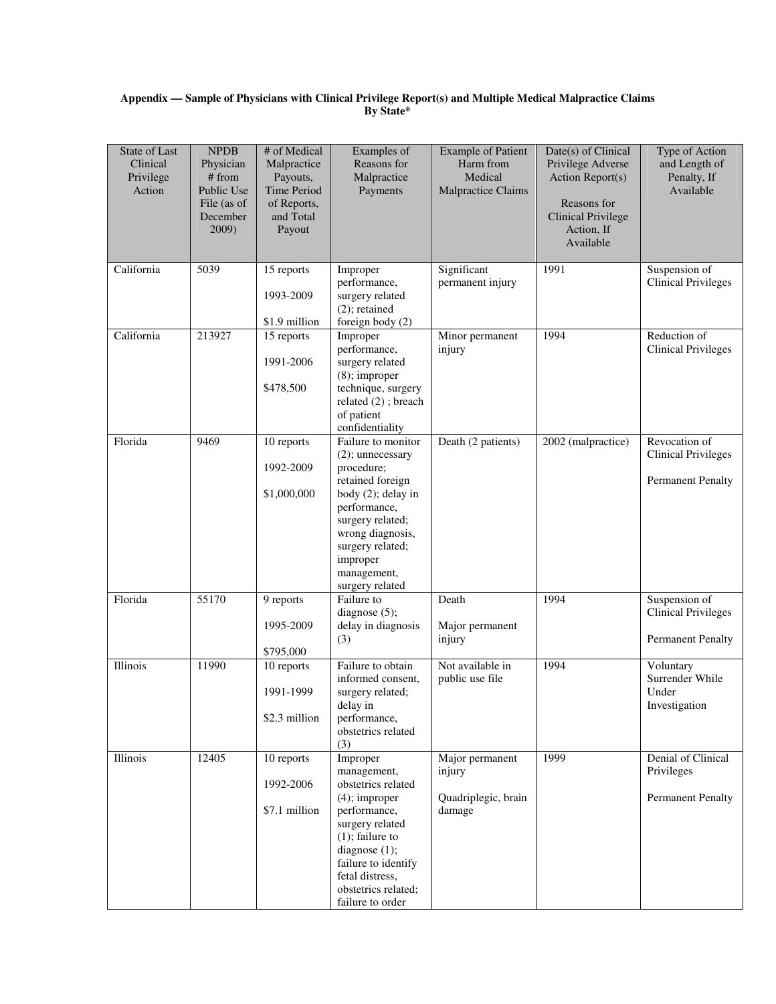## **Appendix — Sample of Physicians with Clinical Privilege Report(s) and Multiple Medical Malpractice Claims By State\***

| <b>State of Last</b><br>Clinical<br>Privilege<br>Action | <b>NPDB</b><br>Physician<br># from<br>Public Use<br>File (as of<br>December<br>2009) | # of Medical<br>Malpractice<br>Payouts,<br>Time Period<br>of Reports,<br>and Total<br>Payout | Examples of<br>Reasons for<br>Malpractice<br>Payments                                                                                                                                                                            | <b>Example of Patient</b><br>Harm from<br>Medical<br>Malpractice Claims | Date(s) of Clinical<br>Privilege Adverse<br>Action Report(s)<br>Reasons for<br><b>Clinical Privilege</b><br>Action, If<br>Available | Type of Action<br>and Length of<br>Penalty, If<br>Available             |
|---------------------------------------------------------|--------------------------------------------------------------------------------------|----------------------------------------------------------------------------------------------|----------------------------------------------------------------------------------------------------------------------------------------------------------------------------------------------------------------------------------|-------------------------------------------------------------------------|-------------------------------------------------------------------------------------------------------------------------------------|-------------------------------------------------------------------------|
| California                                              | 5039                                                                                 | 15 reports<br>1993-2009<br>\$1.9 million                                                     | Improper<br>performance,<br>surgery related<br>$(2)$ ; retained<br>foreign body (2)                                                                                                                                              | Significant<br>permanent injury                                         | 1991                                                                                                                                | Suspension of<br><b>Clinical Privileges</b>                             |
| California                                              | 213927                                                                               | 15 reports<br>1991-2006<br>\$478,500                                                         | Improper<br>performance,<br>surgery related<br>$(8)$ ; improper<br>technique, surgery<br>related (2); breach<br>of patient<br>confidentiality                                                                                    | Minor permanent<br>injury                                               | 1994                                                                                                                                | Reduction of<br><b>Clinical Privileges</b>                              |
| Florida                                                 | 9469                                                                                 | 10 reports<br>1992-2009<br>\$1,000,000                                                       | Failure to monitor<br>$(2)$ ; unnecessary<br>procedure;<br>retained foreign<br>body (2); delay in<br>performance,<br>surgery related;<br>wrong diagnosis,<br>surgery related;<br>improper<br>management,<br>surgery related      | Death (2 patients)                                                      | 2002 (malpractice)                                                                                                                  | Revocation of<br><b>Clinical Privileges</b><br><b>Permanent Penalty</b> |
| Florida                                                 | 55170                                                                                | 9 reports<br>1995-2009<br>\$795,000                                                          | Failure to<br>diagnose (5);<br>delay in diagnosis<br>(3)                                                                                                                                                                         | Death<br>Major permanent<br>injury                                      | 1994                                                                                                                                | Suspension of<br><b>Clinical Privileges</b><br><b>Permanent Penalty</b> |
| Illinois                                                | 11990                                                                                | 10 reports<br>1991-1999<br>\$2.3 million                                                     | Failure to obtain<br>informed consent,<br>surgery related;<br>delay in<br>performance,<br>obstetrics related<br>(3)                                                                                                              | Not available in<br>public use file                                     | 1994                                                                                                                                | Voluntary<br>Surrender While<br>Under<br>Investigation                  |
| Illinois                                                | 12405                                                                                | 10 reports<br>1992-2006<br>\$7.1 million                                                     | Improper<br>management,<br>obstetrics related<br>$(4)$ ; improper<br>performance,<br>surgery related<br>$(1)$ ; failure to<br>diagnose (1);<br>failure to identify<br>fetal distress,<br>obstetrics related;<br>failure to order | Major permanent<br>injury<br>Quadriplegic, brain<br>damage              | 1999                                                                                                                                | Denial of Clinical<br>Privileges<br><b>Permanent Penalty</b>            |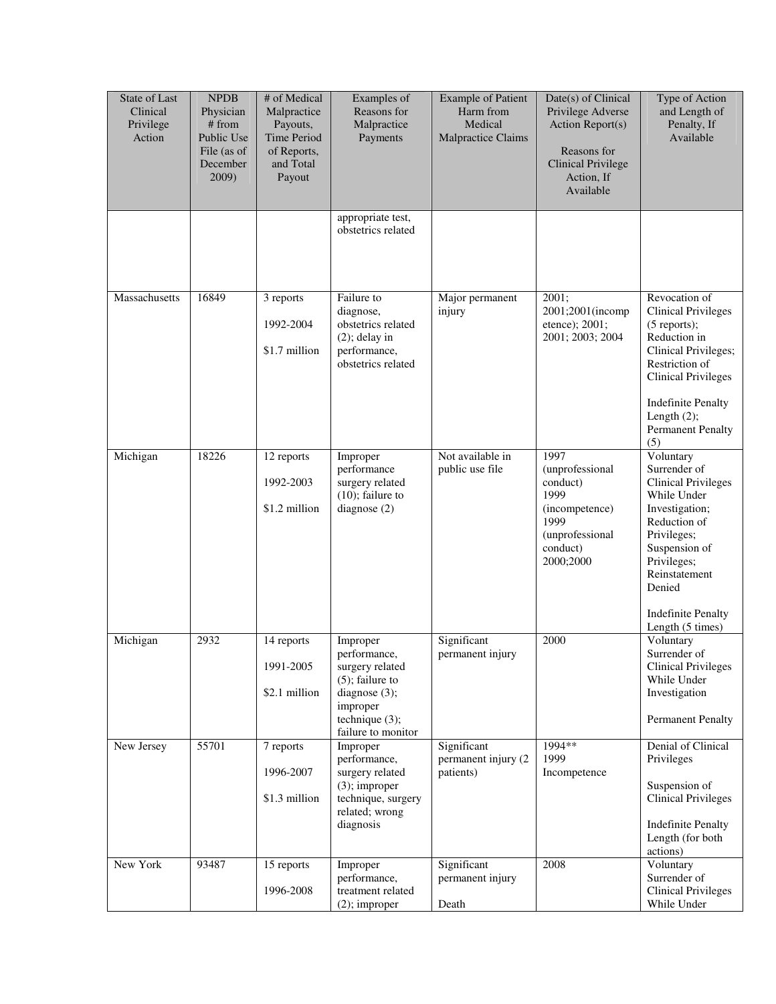| State of Last<br>Clinical<br>Privilege<br>Action | <b>NPDB</b><br>Physician<br># from<br>Public Use<br>File (as of<br>December<br>2009) | # of Medical<br>Malpractice<br>Payouts,<br>Time Period<br>of Reports,<br>and Total<br>Payout | Examples of<br>Reasons for<br>Malpractice<br>Payments                                                                                        | <b>Example of Patient</b><br>Harm from<br>Medical<br>Malpractice Claims | Date(s) of Clinical<br>Privilege Adverse<br>Action Report(s)<br>Reasons for<br><b>Clinical Privilege</b><br>Action, If<br>Available | Type of Action<br>and Length of<br>Penalty, If<br>Available                                                                                                                                                                             |
|--------------------------------------------------|--------------------------------------------------------------------------------------|----------------------------------------------------------------------------------------------|----------------------------------------------------------------------------------------------------------------------------------------------|-------------------------------------------------------------------------|-------------------------------------------------------------------------------------------------------------------------------------|-----------------------------------------------------------------------------------------------------------------------------------------------------------------------------------------------------------------------------------------|
|                                                  |                                                                                      |                                                                                              | appropriate test,<br>obstetrics related                                                                                                      |                                                                         |                                                                                                                                     |                                                                                                                                                                                                                                         |
| Massachusetts                                    | 16849                                                                                | 3 reports<br>1992-2004<br>\$1.7 million                                                      | Failure to<br>diagnose,<br>obstetrics related<br>$(2)$ ; delay in<br>performance,<br>obstetrics related                                      | Major permanent<br>injury                                               | 2001;<br>2001;2001(incomp<br>etence); 2001;<br>2001; 2003; 2004                                                                     | Revocation of<br><b>Clinical Privileges</b><br>$(5$ reports);<br>Reduction in<br>Clinical Privileges;<br>Restriction of<br><b>Clinical Privileges</b><br><b>Indefinite Penalty</b><br>Length $(2)$ ;<br><b>Permanent Penalty</b><br>(5) |
| Michigan                                         | 18226                                                                                | 12 reports<br>1992-2003<br>\$1.2 million                                                     | Improper<br>performance<br>surgery related<br>$(10)$ ; failure to<br>diagnose $(2)$                                                          | Not available in<br>public use file                                     | 1997<br>(unprofessional<br>conduct)<br>1999<br>(incompetence)<br>1999<br>(unprofessional<br>conduct)<br>2000;2000                   | Voluntary<br>Surrender of<br><b>Clinical Privileges</b><br>While Under<br>Investigation;<br>Reduction of<br>Privileges;<br>Suspension of<br>Privileges;<br>Reinstatement<br>Denied<br><b>Indefinite Penalty</b><br>Length (5 times)     |
| Michigan                                         | 2932                                                                                 | 14 reports<br>1991-2005<br>\$2.1 million                                                     | Improper<br>performance,<br>surgery related<br>$(5)$ ; failure to<br>diagnose $(3)$ ;<br>improper<br>technique $(3)$ ;<br>failure to monitor | Significant<br>permanent injury                                         | 2000                                                                                                                                | Voluntary<br>Surrender of<br><b>Clinical Privileges</b><br>While Under<br>Investigation<br><b>Permanent Penalty</b>                                                                                                                     |
| New Jersey                                       | 55701                                                                                | 7 reports<br>1996-2007<br>\$1.3 million                                                      | Improper<br>performance,<br>surgery related<br>$(3)$ ; improper<br>technique, surgery<br>related; wrong<br>diagnosis                         | Significant<br>permanent injury (2<br>patients)                         | 1994**<br>1999<br>Incompetence                                                                                                      | Denial of Clinical<br>Privileges<br>Suspension of<br><b>Clinical Privileges</b><br><b>Indefinite Penalty</b><br>Length (for both<br>actions)                                                                                            |
| New York                                         | 93487                                                                                | 15 reports<br>1996-2008                                                                      | Improper<br>performance,<br>treatment related<br>$(2)$ ; improper                                                                            | Significant<br>permanent injury<br>Death                                | 2008                                                                                                                                | Voluntary<br>Surrender of<br><b>Clinical Privileges</b><br>While Under                                                                                                                                                                  |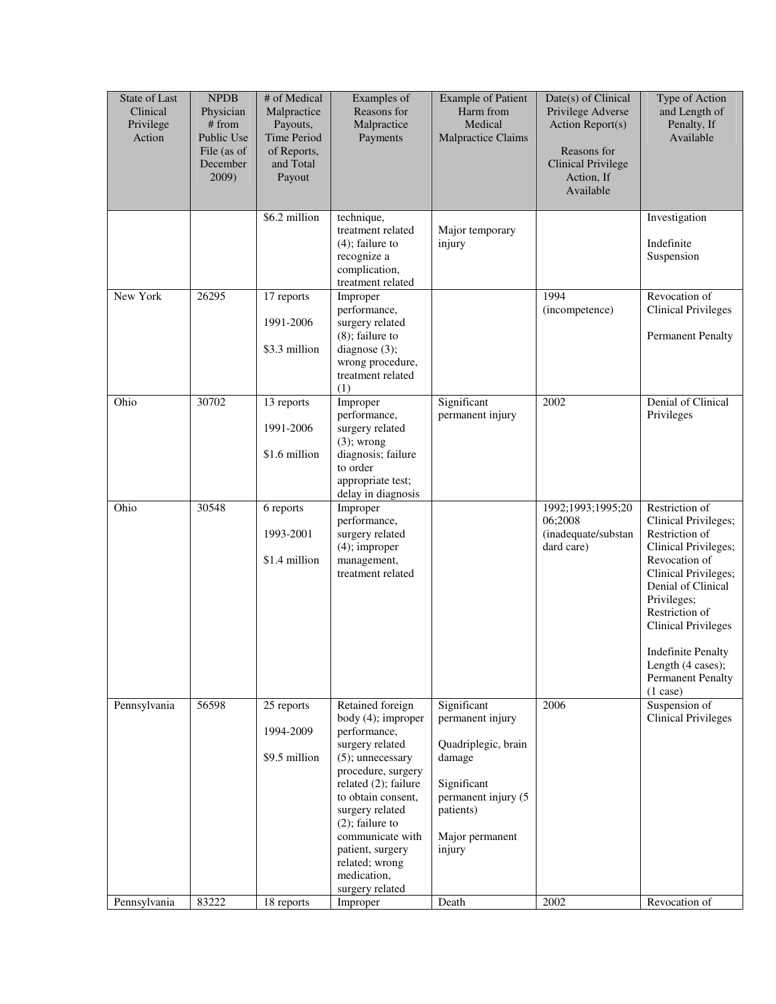| \$6.2 million<br>technique,<br>Investigation<br>treatment related<br>Major temporary<br>Indefinite<br>$(4)$ ; failure to<br>injury<br>recognize a<br>Suspension<br>complication,<br>treatment related<br>New York<br>26295<br>17 reports<br>1994<br>Revocation of<br>Improper<br>performance,<br>(incompetence)<br>1991-2006<br>surgery related<br>$(8)$ ; failure to<br>\$3.3 million<br>diagnose $(3)$ ;<br>wrong procedure,<br>treatment related<br>(1)<br>Ohio<br>30702<br>Improper<br>Significant<br>2002<br>13 reports<br>performance,<br>permanent injury<br>Privileges<br>1991-2006<br>surgery related<br>$(3)$ ; wrong<br>\$1.6 million<br>diagnosis; failure<br>to order<br>appropriate test;<br>delay in diagnosis<br>Ohio<br>30548<br>Restriction of<br>1992;1993;1995;20<br>6 reports<br>Improper<br>06;2008<br>performance,<br>(inadequate/substan<br>1993-2001<br>surgery related<br>Restriction of<br>$(4)$ ; improper<br>dard care)<br>\$1.4 million<br>Revocation of<br>management,<br>treatment related<br>Privileges;<br>Restriction of<br>(1 case)<br>Suspension of<br>Pennsylvania<br>56598<br>25 reports<br>Retained foreign<br>Significant<br>2006<br>permanent injury<br>body (4); improper<br>1994-2009<br>performance,<br>surgery related<br>Quadriplegic, brain<br>\$9.5 million<br>$(5)$ ; unnecessary<br>damage<br>procedure, surgery<br>related (2); failure<br>Significant<br>permanent injury (5<br>to obtain consent,<br>surgery related<br>patients)<br>$(2)$ ; failure to<br>communicate with<br>Major permanent<br>patient, surgery<br>injury<br>related; wrong<br>medication,<br>surgery related | State of Last<br>Clinical<br>Privilege<br>Action | <b>NPDB</b><br>Physician<br># from<br>Public Use<br>File (as of<br>December<br>2009) | # of Medical<br>Malpractice<br>Payouts,<br>Time Period<br>of Reports,<br>and Total<br>Payout | Examples of<br>Reasons for<br>Malpractice<br>Payments | <b>Example of Patient</b><br>Harm from<br>Medical<br>Malpractice Claims | Date(s) of Clinical<br>Privilege Adverse<br>Action Report(s)<br>Reasons for<br><b>Clinical Privilege</b><br>Action, If<br>Available | Type of Action<br>and Length of<br>Penalty, If<br>Available                                                                                                                                            |
|----------------------------------------------------------------------------------------------------------------------------------------------------------------------------------------------------------------------------------------------------------------------------------------------------------------------------------------------------------------------------------------------------------------------------------------------------------------------------------------------------------------------------------------------------------------------------------------------------------------------------------------------------------------------------------------------------------------------------------------------------------------------------------------------------------------------------------------------------------------------------------------------------------------------------------------------------------------------------------------------------------------------------------------------------------------------------------------------------------------------------------------------------------------------------------------------------------------------------------------------------------------------------------------------------------------------------------------------------------------------------------------------------------------------------------------------------------------------------------------------------------------------------------------------------------------------------------------------------------------------------------------|--------------------------------------------------|--------------------------------------------------------------------------------------|----------------------------------------------------------------------------------------------|-------------------------------------------------------|-------------------------------------------------------------------------|-------------------------------------------------------------------------------------------------------------------------------------|--------------------------------------------------------------------------------------------------------------------------------------------------------------------------------------------------------|
|                                                                                                                                                                                                                                                                                                                                                                                                                                                                                                                                                                                                                                                                                                                                                                                                                                                                                                                                                                                                                                                                                                                                                                                                                                                                                                                                                                                                                                                                                                                                                                                                                                        |                                                  |                                                                                      |                                                                                              |                                                       |                                                                         |                                                                                                                                     |                                                                                                                                                                                                        |
|                                                                                                                                                                                                                                                                                                                                                                                                                                                                                                                                                                                                                                                                                                                                                                                                                                                                                                                                                                                                                                                                                                                                                                                                                                                                                                                                                                                                                                                                                                                                                                                                                                        |                                                  |                                                                                      |                                                                                              |                                                       |                                                                         |                                                                                                                                     | <b>Clinical Privileges</b><br><b>Permanent Penalty</b>                                                                                                                                                 |
|                                                                                                                                                                                                                                                                                                                                                                                                                                                                                                                                                                                                                                                                                                                                                                                                                                                                                                                                                                                                                                                                                                                                                                                                                                                                                                                                                                                                                                                                                                                                                                                                                                        |                                                  |                                                                                      |                                                                                              |                                                       |                                                                         |                                                                                                                                     | Denial of Clinical                                                                                                                                                                                     |
|                                                                                                                                                                                                                                                                                                                                                                                                                                                                                                                                                                                                                                                                                                                                                                                                                                                                                                                                                                                                                                                                                                                                                                                                                                                                                                                                                                                                                                                                                                                                                                                                                                        |                                                  |                                                                                      |                                                                                              |                                                       |                                                                         |                                                                                                                                     | Clinical Privileges;<br>Clinical Privileges;<br>Clinical Privileges;<br>Denial of Clinical<br><b>Clinical Privileges</b><br><b>Indefinite Penalty</b><br>Length (4 cases);<br><b>Permanent Penalty</b> |
| Pennsylvania<br>18 reports<br>2002<br>Revocation of<br>Improper<br>Death                                                                                                                                                                                                                                                                                                                                                                                                                                                                                                                                                                                                                                                                                                                                                                                                                                                                                                                                                                                                                                                                                                                                                                                                                                                                                                                                                                                                                                                                                                                                                               |                                                  | 83222                                                                                |                                                                                              |                                                       |                                                                         |                                                                                                                                     | <b>Clinical Privileges</b>                                                                                                                                                                             |